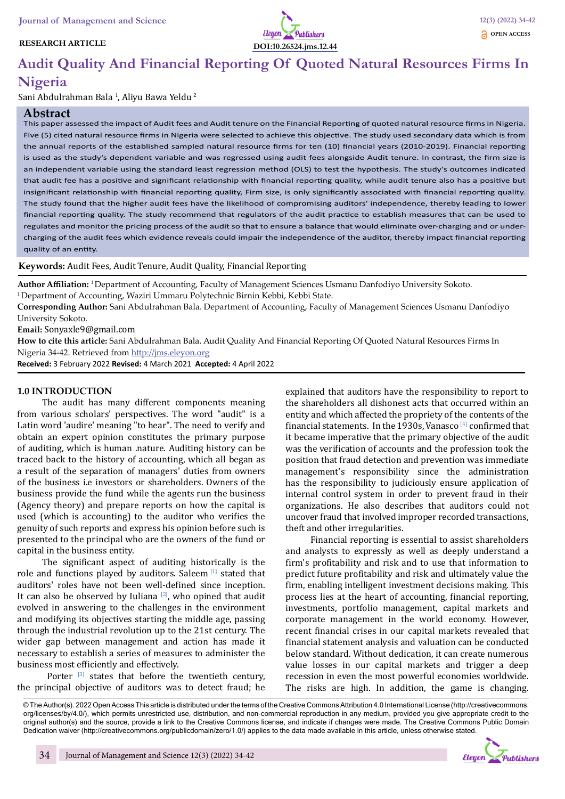#### **RESEARCH ARTICLE**



# **Audit Quality And Financial Reporting Of Quoted Natural Resources Firms In**

# **Nigeria**

Sani Abdulrahman Bala <sup>1</sup>, Aliyu Bawa Yeldu <sup>2</sup>

#### **Abstract**

This paper assessed the impact of Audit fees and Audit tenure on the Financial Reporting of quoted natural resource firms in Nigeria. Five (5) cited natural resource firms in Nigeria were selected to achieve this objective. The study used secondary data which is from the annual reports of the established sampled natural resource firms for ten (10) financial years (2010-2019). Financial reporting is used as the study's dependent variable and was regressed using audit fees alongside Audit tenure. In contrast, the firm size is an independent variable using the standard least regression method (OLS) to test the hypothesis. The study's outcomes indicated that audit fee has a positive and significant relationship with financial reporting quality, while audit tenure also has a positive but insignificant relationship with financial reporting quality, Firm size, is only significantly associated with financial reporting quality. The study found that the higher audit fees have the likelihood of compromising auditors' independence, thereby leading to lower financial reporting quality. The study recommend that regulators of the audit practice to establish measures that can be used to regulates and monitor the pricing process of the audit so that to ensure a balance that would eliminate over-charging and or undercharging of the audit fees which evidence reveals could impair the independence of the auditor, thereby impact financial reporting quality of an entity.

#### **Keywords:** Audit Fees, Audit Tenure, Audit Quality, Financial Reporting

**Author Affiliation:** 1 Department of Accounting, Faculty of Management Sciences Usmanu Danfodiyo University Sokoto. <sup>1</sup> Department of Accounting, Waziri Ummaru Polytechnic Birnin Kebbi, Kebbi State.

**Corresponding Author:** Sani Abdulrahman Bala. Department of Accounting, Faculty of Management Sciences Usmanu Danfodiyo University Sokoto.

**Email:** Sonyaxle9@gmail.com

**How to cite this article:** Sani Abdulrahman Bala. Audit Quality And Financial Reporting Of Quoted Natural Resources Firms In Nigeria 34-42. Retrieved from http://jms.eleyon.org

**Received:** 3 February 2022 **Revised:** 4 March 2021 **Accepted:** 4 April 2022

#### **1.0 INTRODUCTION**

The audit has many different components meaning from various scholars' perspectives. The word "audit" is a Latin word 'audire' meaning "to hear". The need to verify and obtain an expert opinion constitutes the primary purpose of auditing, which is human .nature. Auditing history can be traced back to the history of accounting, which all began as a result of the separation of managers' duties from owners of the business i.e investors or shareholders. Owners of the business provide the fund while the agents run the business (Agency theory) and prepare reports on how the capital is used (which is accounting) to the auditor who verifies the genuity of such reports and express his opinion before such is presented to the principal who are the owners of the fund or capital in the business entity.

The significant aspect of auditing historically is the role and functions played by auditors. Saleem [1] stated that auditors' roles have not been well-defined since inception. It can also be observed by Iuliana  $[2]$ , who opined that audit evolved in answering to the challenges in the environment and modifying its objectives starting the middle age, passing through the industrial revolution up to the 21st century. The wider gap between management and action has made it necessary to establish a series of measures to administer the business most efficiently and effectively.

Porter  $[3]$  states that before the twentieth century, the principal objective of auditors was to detect fraud; he

explained that auditors have the responsibility to report to the shareholders all dishonest acts that occurred within an entity and which affected the propriety of the contents of the financial statements. In the 1930s, Vanasco  $[4]$  confirmed that it became imperative that the primary objective of the audit was the verification of accounts and the profession took the position that fraud detection and prevention was immediate management's responsibility since the administration has the responsibility to judiciously ensure application of internal control system in order to prevent fraud in their organizations. He also describes that auditors could not uncover fraud that involved improper recorded transactions, theft and other irregularities.

Financial reporting is essential to assist shareholders and analysts to expressly as well as deeply understand a firm's profitability and risk and to use that information to predict future profitability and risk and ultimately value the firm, enabling intelligent investment decisions making. This process lies at the heart of accounting, financial reporting, investments, portfolio management, capital markets and corporate management in the world economy. However, recent financial crises in our capital markets revealed that financial statement analysis and valuation can be conducted below standard. Without dedication, it can create numerous value losses in our capital markets and trigger a deep recession in even the most powerful economies worldwide. The risks are high. In addition, the game is changing.

© The Author(s). 2022 Open Access This article is distributed under the terms of the Creative Commons Attribution 4.0 International License (http://creativecommons. org/licenses/by/4.0/), which permits unrestricted use, distribution, and non-commercial reproduction in any medium, provided you give appropriate credit to the original author(s) and the source, provide a link to the Creative Commons license, and indicate if changes were made. The Creative Commons Public Domain Dedication waiver (http://creativecommons.org/publicdomain/zero/1.0/) applies to the data made available in this article, unless otherwise stated.

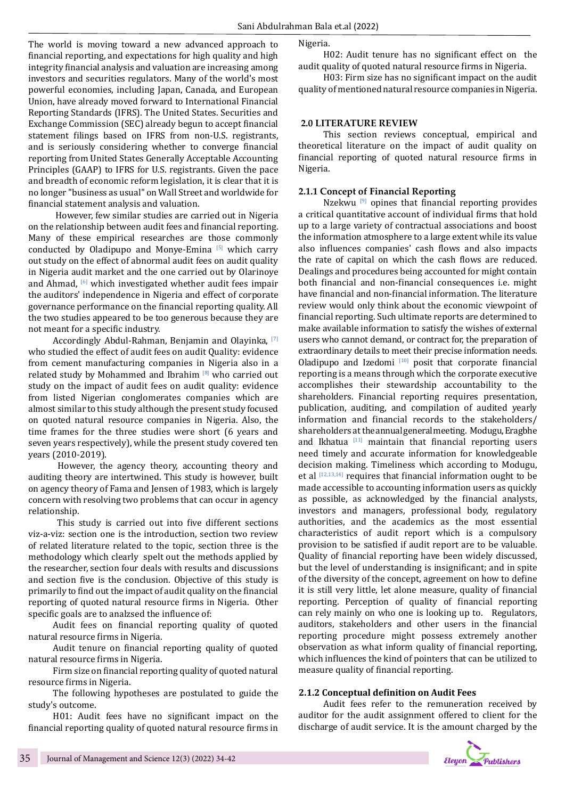The world is moving toward a new advanced approach to financial reporting, and expectations for high quality and high integrity financial analysis and valuation are increasing among investors and securities regulators. Many of the world's most powerful economies, including Japan, Canada, and European Union, have already moved forward to International Financial Reporting Standards (IFRS). The United States. Securities and Exchange Commission (SEC) already begun to accept financial statement filings based on IFRS from non-U.S. registrants, and is seriously considering whether to converge financial reporting from United States Generally Acceptable Accounting Principles (GAAP) to IFRS for U.S. registrants. Given the pace and breadth of economic reform legislation, it is clear that it is no longer "business as usual" on Wall Street and worldwide for financial statement analysis and valuation.

 However, few similar studies are carried out in Nigeria on the relationship between audit fees and financial reporting. Many of these empirical researches are those commonly conducted by Oladipupo and Monye-Emina  $[5]$  which carry out study on the effect of abnormal audit fees on audit quality in Nigeria audit market and the one carried out by Olarinoye and Ahmad, <sup>[6]</sup> which investigated whether audit fees impair the auditors' independence in Nigeria and effect of corporate governance performance on the financial reporting quality. All the two studies appeared to be too generous because they are not meant for a specific industry.

Accordingly Abdul-Rahman, Benjamin and Olayinka, [7] who studied the effect of audit fees on audit Quality: evidence from cement manufacturing companies in Nigeria also in a related study by Mohammed and Ibrahim  $[8]$  who carried out study on the impact of audit fees on audit quality: evidence from listed Nigerian conglomerates companies which are almost similar to this study although the present study focused on quoted natural resource companies in Nigeria. Also, the time frames for the three studies were short (6 years and seven years respectively), while the present study covered ten years (2010-2019).

 However, the agency theory, accounting theory and auditing theory are intertwined. This study is however, built on agency theory of Fama and Jensen of 1983, which is largely concern with resolving two problems that can occur in agency relationship.

 This study is carried out into five different sections viz-a-viz: section one is the introduction, section two review of related literature related to the topic, section three is the methodology which clearly spelt out the methods applied by the researcher, section four deals with results and discussions and section five is the conclusion. Objective of this study is primarily to find out the impact of audit quality on the financial reporting of quoted natural resource firms in Nigeria. Other specific goals are to analzsed the influence of:

Audit fees on financial reporting quality of quoted natural resource firms in Nigeria.

Audit tenure on financial reporting quality of quoted natural resource firms in Nigeria.

Firm size on financial reporting quality of quoted natural resource firms in Nigeria.

The following hypotheses are postulated to guide the study's outcome.

H01: Audit fees have no significant impact on the financial reporting quality of quoted natural resource firms in Nigeria.

H02: Audit tenure has no significant effect on the audit quality of quoted natural resource firms in Nigeria.

H03: Firm size has no significant impact on the audit quality of mentioned natural resource companies in Nigeria.

#### **2.0 LITERATURE REVIEW**

This section reviews conceptual, empirical and theoretical literature on the impact of audit quality on financial reporting of quoted natural resource firms in Nigeria.

#### **2.1.1 Concept of Financial Reporting**

Nzekwu  $[9]$  opines that financial reporting provides a critical quantitative account of individual firms that hold up to a large variety of contractual associations and boost the information atmosphere to a large extent while its value also influences companies' cash flows and also impacts the rate of capital on which the cash flows are reduced. Dealings and procedures being accounted for might contain both financial and non-financial consequences i.e. might have financial and non-financial information. The literature review would only think about the economic viewpoint of financial reporting. Such ultimate reports are determined to make available information to satisfy the wishes of external users who cannot demand, or contract for, the preparation of extraordinary details to meet their precise information needs. Oladipupo and Izedomi  $[10]$  posit that corporate financial reporting is a means through which the corporate executive accomplishes their stewardship accountability to the shareholders. Financial reporting requires presentation, publication, auditing, and compilation of audited yearly information and financial records to the stakeholders/ shareholders at the annual general meeting. Modugu, Eragbhe and Ikhatua  $[11]$  maintain that financial reporting users need timely and accurate information for knowledgeable decision making. Timeliness which according to Modugu, et al  $[12,13,14]$  requires that financial information ought to be made accessible to accounting information users as quickly as possible, as acknowledged by the financial analysts, investors and managers, professional body, regulatory authorities, and the academics as the most essential characteristics of audit report which is a compulsory provision to be satisfied if audit report are to be valuable. Quality of financial reporting have been widely discussed, but the level of understanding is insignificant; and in spite of the diversity of the concept, agreement on how to define it is still very little, let alone measure, quality of financial reporting. Perception of quality of financial reporting can rely mainly on who one is looking up to. Regulators, auditors, stakeholders and other users in the financial reporting procedure might possess extremely another observation as what inform quality of financial reporting, which influences the kind of pointers that can be utilized to measure quality of financial reporting.

#### **2.1.2 Conceptual definition on Audit Fees**

Audit fees refer to the remuneration received by auditor for the audit assignment offered to client for the discharge of audit service. It is the amount charged by the

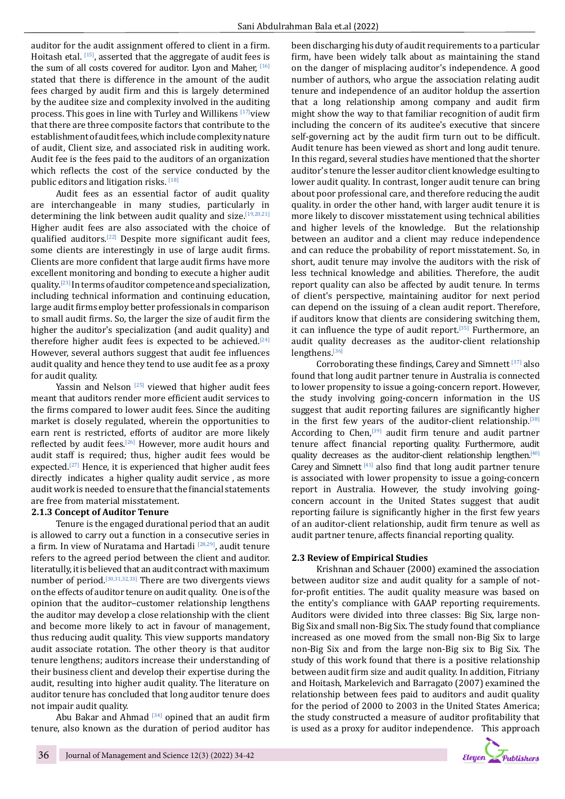auditor for the audit assignment offered to client in a firm. Hoitash etal. [15], asserted that the aggregate of audit fees is the sum of all costs covered for auditor. Lyon and Maher, [16] stated that there is difference in the amount of the audit fees charged by audit firm and this is largely determined by the auditee size and complexity involved in the auditing process. This goes in line with Turley and Willikens  $[17]$ view that there are three composite factors that contribute to the establishment of audit fees, which include complexity nature of audit, Client size, and associated risk in auditing work. Audit fee is the fees paid to the auditors of an organization which reflects the cost of the service conducted by the public editors and litigation risks. [18]

Audit fees as an essential factor of audit quality are interchangeable in many studies, particularly in determining the link between audit quality and size.<sup>[19,20,21]</sup> Higher audit fees are also associated with the choice of qualified auditors.[22] Despite more significant audit fees, some clients are interestingly in use of large audit firms. Clients are more confident that large audit firms have more excellent monitoring and bonding to execute a higher audit quality.[23] In terms of auditor competence and specialization, including technical information and continuing education, large audit firms employ better professionals in comparison to small audit firms. So, the larger the size of audit firm the higher the auditor's specialization (and audit quality) and therefore higher audit fees is expected to be achieved.<sup>[24]</sup> However, several authors suggest that audit fee influences audit quality and hence they tend to use audit fee as a proxy for audit quality.

Yassin and Nelson  $[25]$  viewed that higher audit fees meant that auditors render more efficient audit services to the firms compared to lower audit fees. Since the auditing market is closely regulated, wherein the opportunities to earn rent is restricted, efforts of auditor are more likely reflected by audit fees.[26] However, more audit hours and audit staff is required; thus, higher audit fees would be expected.<sup>[27]</sup> Hence, it is experienced that higher audit fees directly indicates a higher quality audit service , as more audit work is needed to ensure that the financial statements are free from material misstatement.

#### **2.1.3 Concept of Auditor Tenure**

Tenure is the engaged durational period that an audit is allowed to carry out a function in a consecutive series in a firm. In view of Nuratama and Hartadi [28,29], audit tenure refers to the agreed period between the client and auditor. literatully, it is believed that an audit contract with maximum number of period.<sup>[30,31,32,33]</sup> There are two divergents views on the effects of auditor tenure on audit quality. One is of the opinion that the auditor–customer relationship lengthens the auditor may develop a close relationship with the client and become more likely to act in favour of management, thus reducing audit quality. This view supports mandatory audit associate rotation. The other theory is that auditor tenure lengthens; auditors increase their understanding of their business client and develop their expertise during the audit, resulting into higher audit quality. The literature on auditor tenure has concluded that long auditor tenure does not impair audit quality.

Abu Bakar and Ahmad  $[34]$  opined that an audit firm tenure, also known as the duration of period auditor has

been discharging his duty of audit requirements to a particular firm, have been widely talk about as maintaining the stand on the danger of misplacing auditor's independence. A good number of authors, who argue the association relating audit tenure and independence of an auditor holdup the assertion that a long relationship among company and audit firm might show the way to that familiar recognition of audit firm including the concern of its auditee's executive that sincere self-governing act by the audit firm turn out to be difficult. Audit tenure has been viewed as short and long audit tenure. In this regard, several studies have mentioned that the shorter auditor's tenure the lesser auditor client knowledge esulting to lower audit quality. In contrast, longer audit tenure can bring about poor professional care, and therefore reducing the audit quality. in order the other hand, with larger audit tenure it is more likely to discover misstatement using technical abilities and higher levels of the knowledge. But the relationship between an auditor and a client may reduce independence and can reduce the probability of report misstatement. So, in short, audit tenure may involve the auditors with the risk of less technical knowledge and abilities. Therefore, the audit report quality can also be affected by audit tenure. In terms of client's perspective, maintaining auditor for next period can depend on the issuing of a clean audit report. Therefore, if auditors know that clients are considering switching them, it can influence the type of audit report.<sup>[35]</sup> Furthermore, an audit quality decreases as the auditor-client relationship lengthens.[36]

Corroborating these findings, Carey and Simnett  $[37]$  also found that long audit partner tenure in Australia is connected to lower propensity to issue a going-concern report. However, the study involving going-concern information in the US suggest that audit reporting failures are significantly higher in the first few years of the auditor-client relationship.<sup>[38]</sup> According to Chen,[39] audit firm tenure and audit partner tenure affect financial reporting quality. Furthermore, audit quality decreases as the auditor-client relationship lengthen.<sup>[40]</sup> Carey and Simnett  $[41]$  also find that long audit partner tenure is associated with lower propensity to issue a going-concern report in Australia. However, the study involving goingconcern account in the United States suggest that audit reporting failure is significantly higher in the first few years of an auditor-client relationship, audit firm tenure as well as audit partner tenure, affects financial reporting quality.

#### **2.3 Review of Empirical Studies**

Krishnan and Schauer (2000) examined the association between auditor size and audit quality for a sample of notfor-profit entities. The audit quality measure was based on the entity's compliance with GAAP reporting requirements. Auditors were divided into three classes: Big Six, large non-Big Six and small non-Big Six. The study found that compliance increased as one moved from the small non-Big Six to large non-Big Six and from the large non-Big six to Big Six. The study of this work found that there is a positive relationship between audit firm size and audit quality. In addition, Fitriany and Hoitash, Markelevich and Barragato (2007) examined the relationship between fees paid to auditors and audit quality for the period of 2000 to 2003 in the United States America; the study constructed a measure of auditor profitability that is used as a proxy for auditor independence. This approach

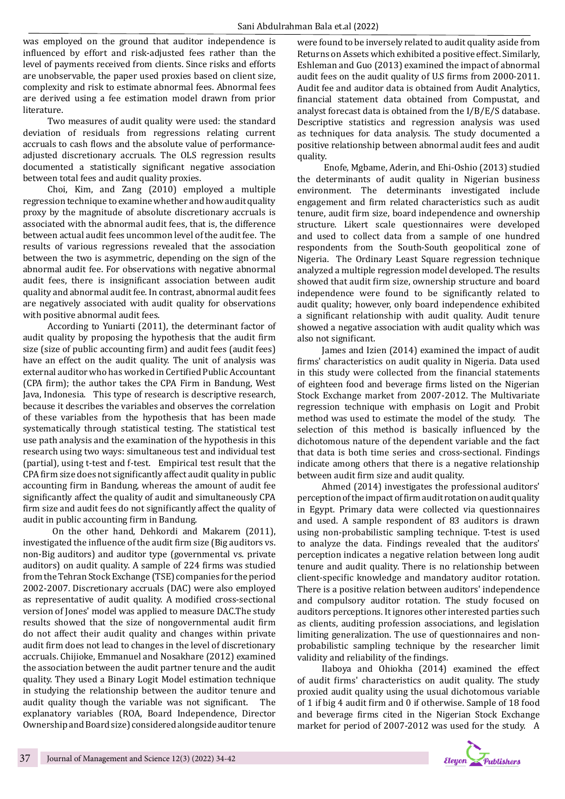was employed on the ground that auditor independence is influenced by effort and risk-adjusted fees rather than the level of payments received from clients. Since risks and efforts are unobservable, the paper used proxies based on client size, complexity and risk to estimate abnormal fees. Abnormal fees are derived using a fee estimation model drawn from prior literature.

Two measures of audit quality were used: the standard deviation of residuals from regressions relating current accruals to cash flows and the absolute value of performanceadjusted discretionary accruals. The OLS regression results documented a statistically significant negative association between total fees and audit quality proxies.

Choi, Kim, and Zang (2010) employed a multiple regression technique to examine whether and how audit quality proxy by the magnitude of absolute discretionary accruals is associated with the abnormal audit fees, that is, the difference between actual audit fees uncommon level of the audit fee. The results of various regressions revealed that the association between the two is asymmetric, depending on the sign of the abnormal audit fee. For observations with negative abnormal audit fees, there is insignificant association between audit quality and abnormal audit fee. In contrast, abnormal audit fees are negatively associated with audit quality for observations with positive abnormal audit fees.

According to Yuniarti (2011), the determinant factor of audit quality by proposing the hypothesis that the audit firm size (size of public accounting firm) and audit fees (audit fees) have an effect on the audit quality. The unit of analysis was external auditor who has worked in Certified Public Accountant (CPA firm); the author takes the CPA Firm in Bandung, West Java, Indonesia. This type of research is descriptive research, because it describes the variables and observes the correlation of these variables from the hypothesis that has been made systematically through statistical testing. The statistical test use path analysis and the examination of the hypothesis in this research using two ways: simultaneous test and individual test (partial), using t-test and f-test. Empirical test result that the CPA firm size does not significantly affect audit quality in public accounting firm in Bandung, whereas the amount of audit fee significantly affect the quality of audit and simultaneously CPA firm size and audit fees do not significantly affect the quality of audit in public accounting firm in Bandung.

 On the other hand, Dehkordi and Makarem (2011), investigated the influence of the audit firm size (Big auditors vs. non-Big auditors) and auditor type (governmental vs. private auditors) on audit quality. A sample of 224 firms was studied from the Tehran Stock Exchange (TSE) companies for the period 2002-2007. Discretionary accruals (DAC) were also employed as representative of audit quality. A modified cross-sectional version of Jones' model was applied to measure DAC.The study results showed that the size of nongovernmental audit firm do not affect their audit quality and changes within private audit firm does not lead to changes in the level of discretionary accruals. Chijioke, Emmanuel and Nosakhare (2012) examined the association between the audit partner tenure and the audit quality. They used a Binary Logit Model estimation technique in studying the relationship between the auditor tenure and audit quality though the variable was not significant. The explanatory variables (ROA, Board Independence, Director Ownership and Board size) considered alongside auditor tenure

were found to be inversely related to audit quality aside from Returns on Assets which exhibited a positive effect. Similarly, Eshleman and Guo (2013) examined the impact of abnormal audit fees on the audit quality of U.S firms from 2000-2011. Audit fee and auditor data is obtained from Audit Analytics, financial statement data obtained from Compustat, and analyst forecast data is obtained from the I/B/E/S database. Descriptive statistics and regression analysis was used as techniques for data analysis. The study documented a positive relationship between abnormal audit fees and audit quality.

 Enofe, Mgbame, Aderin, and Ehi-Oshio (2013) studied the determinants of audit quality in Nigerian business environment. The determinants investigated include engagement and firm related characteristics such as audit tenure, audit firm size, board independence and ownership structure. Likert scale questionnaires were developed and used to collect data from a sample of one hundred respondents from the South-South geopolitical zone of Nigeria. The Ordinary Least Square regression technique analyzed a multiple regression model developed. The results showed that audit firm size, ownership structure and board independence were found to be significantly related to audit quality; however, only board independence exhibited a significant relationship with audit quality. Audit tenure showed a negative association with audit quality which was also not significant.

James and Izien (2014) examined the impact of audit firms' characteristics on audit quality in Nigeria. Data used in this study were collected from the financial statements of eighteen food and beverage firms listed on the Nigerian Stock Exchange market from 2007-2012. The Multivariate regression technique with emphasis on Logit and Probit method was used to estimate the model of the study. The selection of this method is basically influenced by the dichotomous nature of the dependent variable and the fact that data is both time series and cross-sectional. Findings indicate among others that there is a negative relationship between audit firm size and audit quality.

Ahmed (2014) investigates the professional auditors' perception of the impact of firm audit rotation on audit quality in Egypt. Primary data were collected via questionnaires and used. A sample respondent of 83 auditors is drawn using non-probabilistic sampling technique. T-test is used to analyze the data. Findings revealed that the auditors' perception indicates a negative relation between long audit tenure and audit quality. There is no relationship between client-specific knowledge and mandatory auditor rotation. There is a positive relation between auditors' independence and compulsory auditor rotation. The study focused on auditors perceptions. It ignores other interested parties such as clients, auditing profession associations, and legislation limiting generalization. The use of questionnaires and nonprobabilistic sampling technique by the researcher limit validity and reliability of the findings.

Ilaboya and Ohiokha (2014) examined the effect of audit firms' characteristics on audit quality. The study proxied audit quality using the usual dichotomous variable of 1 if big 4 audit firm and 0 if otherwise. Sample of 18 food and beverage firms cited in the Nigerian Stock Exchange market for period of 2007-2012 was used for the study. A

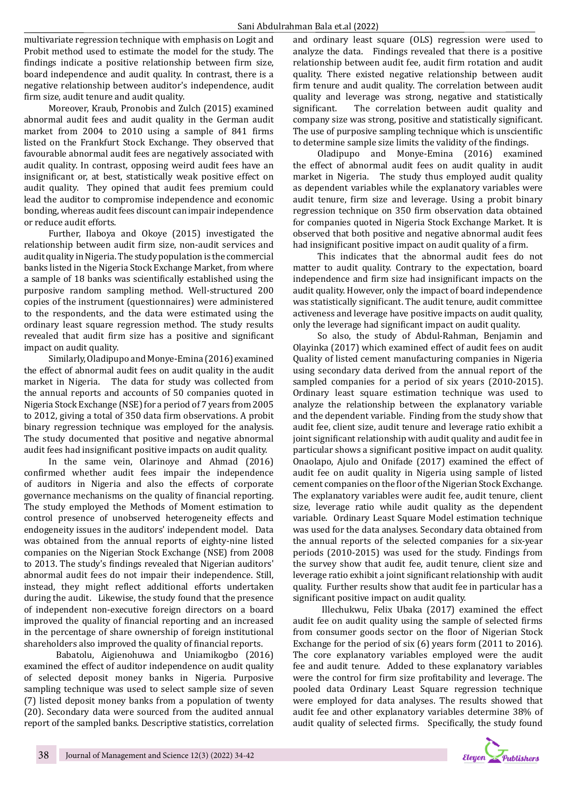multivariate regression technique with emphasis on Logit and Probit method used to estimate the model for the study. The findings indicate a positive relationship between firm size, board independence and audit quality. In contrast, there is a negative relationship between auditor's independence, audit firm size, audit tenure and audit quality.

Moreover, Kraub, Pronobis and Zulch (2015) examined abnormal audit fees and audit quality in the German audit market from 2004 to 2010 using a sample of 841 firms listed on the Frankfurt Stock Exchange. They observed that favourable abnormal audit fees are negatively associated with audit quality. In contrast, opposing weird audit fees have an insignificant or, at best, statistically weak positive effect on audit quality. They opined that audit fees premium could lead the auditor to compromise independence and economic bonding, whereas audit fees discount can impair independence or reduce audit efforts.

Further, Ilaboya and Okoye (2015) investigated the relationship between audit firm size, non-audit services and audit quality in Nigeria. The study population is the commercial banks listed in the Nigeria Stock Exchange Market, from where a sample of 18 banks was scientifically established using the purposive random sampling method. Well-structured 200 copies of the instrument (questionnaires) were administered to the respondents, and the data were estimated using the ordinary least square regression method. The study results revealed that audit firm size has a positive and significant impact on audit quality.

Similarly, Oladipupo and Monye-Emina (2016) examined the effect of abnormal audit fees on audit quality in the audit market in Nigeria. The data for study was collected from the annual reports and accounts of 50 companies quoted in Nigeria Stock Exchange (NSE) for a period of 7 years from 2005 to 2012, giving a total of 350 data firm observations. A probit binary regression technique was employed for the analysis. The study documented that positive and negative abnormal audit fees had insignificant positive impacts on audit quality.

In the same vein, Olarinoye and Ahmad (2016) confirmed whether audit fees impair the independence of auditors in Nigeria and also the effects of corporate governance mechanisms on the quality of financial reporting. The study employed the Methods of Moment estimation to control presence of unobserved heterogeneity effects and endogeneity issues in the auditors' independent model. Data was obtained from the annual reports of eighty-nine listed companies on the Nigerian Stock Exchange (NSE) from 2008 to 2013. The study's findings revealed that Nigerian auditors' abnormal audit fees do not impair their independence. Still, instead, they might reflect additional efforts undertaken during the audit. Likewise, the study found that the presence of independent non-executive foreign directors on a board improved the quality of financial reporting and an increased in the percentage of share ownership of foreign institutional shareholders also improved the quality of financial reports.

 Babatolu, Aigienohuwa and Uniamikogbo (2016) examined the effect of auditor independence on audit quality of selected deposit money banks in Nigeria. Purposive sampling technique was used to select sample size of seven (7) listed deposit money banks from a population of twenty (20). Secondary data were sourced from the audited annual report of the sampled banks. Descriptive statistics, correlation and ordinary least square (OLS) regression were used to analyze the data. Findings revealed that there is a positive relationship between audit fee, audit firm rotation and audit quality. There existed negative relationship between audit firm tenure and audit quality. The correlation between audit quality and leverage was strong, negative and statistically significant. The correlation between audit quality and The correlation between audit quality and company size was strong, positive and statistically significant. The use of purposive sampling technique which is unscientific to determine sample size limits the validity of the findings.

Oladipupo and Monye-Emina (2016) examined the effect of abnormal audit fees on audit quality in audit market in Nigeria. The study thus employed audit quality as dependent variables while the explanatory variables were audit tenure, firm size and leverage. Using a probit binary regression technique on 350 firm observation data obtained for companies quoted in Nigeria Stock Exchange Market. It is observed that both positive and negative abnormal audit fees had insignificant positive impact on audit quality of a firm.

This indicates that the abnormal audit fees do not matter to audit quality. Contrary to the expectation, board independence and firm size had insignificant impacts on the audit quality. However, only the impact of board independence was statistically significant. The audit tenure, audit committee activeness and leverage have positive impacts on audit quality, only the leverage had significant impact on audit quality.

So also, the study of Abdul-Rahman, Benjamin and Olayinka (2017) which examined effect of audit fees on audit Quality of listed cement manufacturing companies in Nigeria using secondary data derived from the annual report of the sampled companies for a period of six years (2010-2015). Ordinary least square estimation technique was used to analyze the relationship between the explanatory variable and the dependent variable. Finding from the study show that audit fee, client size, audit tenure and leverage ratio exhibit a joint significant relationship with audit quality and audit fee in particular shows a significant positive impact on audit quality. Onaolapo, Ajulo and Onifade (2017) examined the effect of audit fee on audit quality in Nigeria using sample of listed cement companies on the floor of the Nigerian Stock Exchange. The explanatory variables were audit fee, audit tenure, client size, leverage ratio while audit quality as the dependent variable. Ordinary Least Square Model estimation technique was used for the data analyses. Secondary data obtained from the annual reports of the selected companies for a six-year periods (2010-2015) was used for the study. Findings from the survey show that audit fee, audit tenure, client size and leverage ratio exhibit a joint significant relationship with audit quality. Further results show that audit fee in particular has a significant positive impact on audit quality.

 Illechukwu, Felix Ubaka (2017) examined the effect audit fee on audit quality using the sample of selected firms from consumer goods sector on the floor of Nigerian Stock Exchange for the period of six (6) years form (2011 to 2016). The core explanatory variables employed were the audit fee and audit tenure. Added to these explanatory variables were the control for firm size profitability and leverage. The pooled data Ordinary Least Square regression technique were employed for data analyses. The results showed that audit fee and other explanatory variables determine 38% of audit quality of selected firms. Specifically, the study found

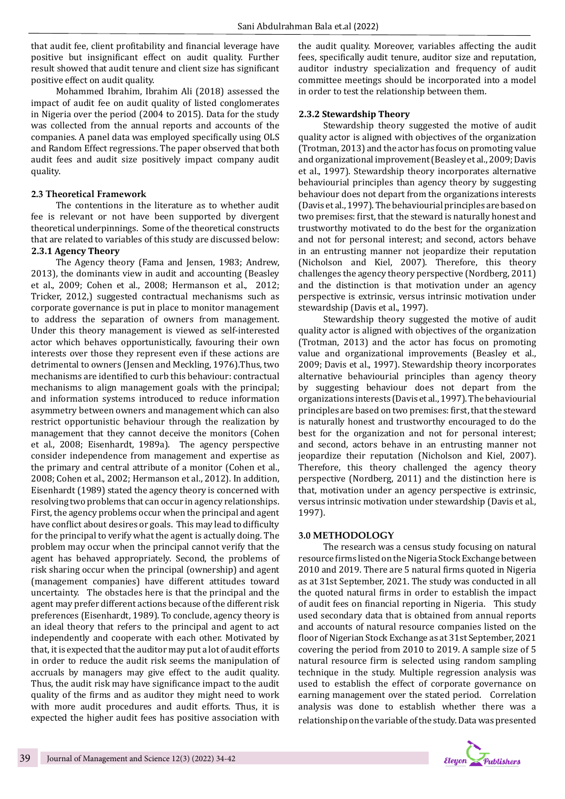that audit fee, client profitability and financial leverage have positive but insignificant effect on audit quality. Further result showed that audit tenure and client size has significant positive effect on audit quality.

Mohammed Ibrahim, Ibrahim Ali (2018) assessed the impact of audit fee on audit quality of listed conglomerates in Nigeria over the period (2004 to 2015). Data for the study was collected from the annual reports and accounts of the companies. A panel data was employed specifically using OLS and Random Effect regressions. The paper observed that both audit fees and audit size positively impact company audit quality.

#### **2.3 Theoretical Framework**

The contentions in the literature as to whether audit fee is relevant or not have been supported by divergent theoretical underpinnings. Some of the theoretical constructs that are related to variables of this study are discussed below: **2.3.1 Agency Theory**

The Agency theory (Fama and Jensen, 1983; Andrew, 2013), the dominants view in audit and accounting (Beasley et al., 2009; Cohen et al., 2008; Hermanson et al., 2012; Tricker, 2012,) suggested contractual mechanisms such as corporate governance is put in place to monitor management to address the separation of owners from management. Under this theory management is viewed as self-interested actor which behaves opportunistically, favouring their own interests over those they represent even if these actions are detrimental to owners (Jensen and Meckling, 1976).Thus, two mechanisms are identified to curb this behaviour: contractual mechanisms to align management goals with the principal; and information systems introduced to reduce information asymmetry between owners and management which can also restrict opportunistic behaviour through the realization by management that they cannot deceive the monitors (Cohen et al., 2008; Eisenhardt, 1989a). The agency perspective consider independence from management and expertise as the primary and central attribute of a monitor (Cohen et al., 2008; Cohen et al., 2002; Hermanson et al., 2012). In addition, Eisenhardt (1989) stated the agency theory is concerned with resolving two problems that can occur in agency relationships. First, the agency problems occur when the principal and agent have conflict about desires or goals. This may lead to difficulty for the principal to verify what the agent is actually doing. The problem may occur when the principal cannot verify that the agent has behaved appropriately. Second, the problems of risk sharing occur when the principal (ownership) and agent (management companies) have different attitudes toward uncertainty. The obstacles here is that the principal and the agent may prefer different actions because of the different risk preferences (Eisenhardt, 1989). To conclude, agency theory is an ideal theory that refers to the principal and agent to act independently and cooperate with each other. Motivated by that, it is expected that the auditor may put a lot of audit efforts in order to reduce the audit risk seems the manipulation of accruals by managers may give effect to the audit quality. Thus, the audit risk may have significance impact to the audit quality of the firms and as auditor they might need to work with more audit procedures and audit efforts. Thus, it is expected the higher audit fees has positive association with

the audit quality. Moreover, variables affecting the audit fees, specifically audit tenure, auditor size and reputation, auditor industry specialization and frequency of audit committee meetings should be incorporated into a model in order to test the relationship between them.

#### **2.3.2 Stewardship Theory**

Stewardship theory suggested the motive of audit quality actor is aligned with objectives of the organization (Trotman, 2013) and the actor has focus on promoting value and organizational improvement (Beasley et al., 2009; Davis et al., 1997). Stewardship theory incorporates alternative behaviourial principles than agency theory by suggesting behaviour does not depart from the organizations interests (Davis et al., 1997). The behaviourial principles are based on two premises: first, that the steward is naturally honest and trustworthy motivated to do the best for the organization and not for personal interest; and second, actors behave in an entrusting manner not jeopardize their reputation (Nicholson and Kiel, 2007). Therefore, this theory challenges the agency theory perspective (Nordberg, 2011) and the distinction is that motivation under an agency perspective is extrinsic, versus intrinsic motivation under stewardship (Davis et al., 1997).

Stewardship theory suggested the motive of audit quality actor is aligned with objectives of the organization (Trotman, 2013) and the actor has focus on promoting value and organizational improvements (Beasley et al., 2009; Davis et al., 1997). Stewardship theory incorporates alternative behaviourial principles than agency theory by suggesting behaviour does not depart from the organizations interests (Davis et al., 1997). The behaviourial principles are based on two premises: first, that the steward is naturally honest and trustworthy encouraged to do the best for the organization and not for personal interest; and second, actors behave in an entrusting manner not jeopardize their reputation (Nicholson and Kiel, 2007). Therefore, this theory challenged the agency theory perspective (Nordberg, 2011) and the distinction here is that, motivation under an agency perspective is extrinsic, versus intrinsic motivation under stewardship (Davis et al., 1997).

#### **3.0 METHODOLOGY**

The research was a census study focusing on natural resource firms listed on the Nigeria Stock Exchange between 2010 and 2019. There are 5 natural firms quoted in Nigeria as at 31st September, 2021. The study was conducted in all the quoted natural firms in order to establish the impact of audit fees on financial reporting in Nigeria. This study used secondary data that is obtained from annual reports and accounts of natural resource companies listed on the floor of Nigerian Stock Exchange as at 31st September, 2021 covering the period from 2010 to 2019. A sample size of 5 natural resource firm is selected using random sampling technique in the study. Multiple regression analysis was used to establish the effect of corporate governance on earning management over the stated period. Correlation analysis was done to establish whether there was a relationship on the variable of the study. Data was presented

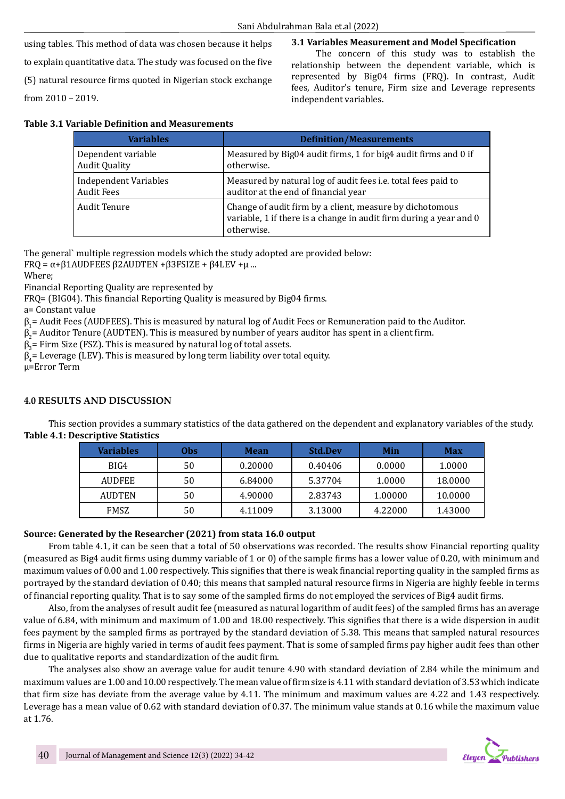#### **3.1 Variables Measurement and Model Specification**

using tables. This method of data was chosen because it helps to explain quantitative data. The study was focused on the five (5) natural resource firms quoted in Nigerian stock exchange from 2010 – 2019.

The concern of this study was to establish the relationship between the dependent variable, which is represented by Big04 firms (FRQ). In contrast, Audit fees, Auditor's tenure, Firm size and Leverage represents independent variables.

| <b>Variables</b>             | <b>Definition/Measurements</b>                                                                                                               |
|------------------------------|----------------------------------------------------------------------------------------------------------------------------------------------|
| Dependent variable           | Measured by Big04 audit firms, 1 for big4 audit firms and 0 if                                                                               |
| <b>Audit Quality</b>         | otherwise.                                                                                                                                   |
| <b>Independent Variables</b> | Measured by natural log of audit fees i.e. total fees paid to                                                                                |
| <b>Audit Fees</b>            | auditor at the end of financial year                                                                                                         |
| <b>Audit Tenure</b>          | Change of audit firm by a client, measure by dichotomous<br>variable, 1 if there is a change in audit firm during a year and 0<br>otherwise. |

The general` multiple regression models which the study adopted are provided below:

FRQ = α+β1AUDFEES β2AUDTEN +β3FSIZE + β4LEV +μ ...

Where;

Financial Reporting Quality are represented by

FRQ= (BIG04). This financial Reporting Quality is measured by Big04 firms.

a= Constant value

β1 = Audit Fees (AUDFEES). This is measured by natural log of Audit Fees or Remuneration paid to the Auditor.

 $\beta_2$ = Auditor Tenure (AUDTEN). This is measured by number of years auditor has spent in a client firm.

 $\beta_3$  = Firm Size (FSZ). This is measured by natural log of total assets.

 $\beta_4$ = Leverage (LEV). This is measured by long term liability over total equity.

μ=Error Term

# **4.0 RESULTS AND DISCUSSION**

This section provides a summary statistics of the data gathered on the dependent and explanatory variables of the study. **Table 4.1: Descriptive Statistics**

| <b>Variables</b> | 0bs | <b>Mean</b> | <b>Std.Dev</b> | Min     | <b>Max</b> |
|------------------|-----|-------------|----------------|---------|------------|
| BIG4             | 50  | 0.20000     | 0.40406        | 0.0000  | 1.0000     |
| <b>AUDFEE</b>    | 50  | 6.84000     | 5.37704        | 1.0000  | 18.0000    |
| <b>AUDTEN</b>    | 50  | 4.90000     | 2.83743        | 1.00000 | 10.0000    |
| <b>FMSZ</b>      | 50  | 4.11009     | 3.13000        | 4.22000 | 1.43000    |

# **Source: Generated by the Researcher (2021) from stata 16.0 output**

From table 4.1, it can be seen that a total of 50 observations was recorded. The results show Financial reporting quality (measured as Big4 audit firms using dummy variable of 1 or 0) of the sample firms has a lower value of 0.20, with minimum and maximum values of 0.00 and 1.00 respectively. This signifies that there is weak financial reporting quality in the sampled firms as portrayed by the standard deviation of 0.40; this means that sampled natural resource firms in Nigeria are highly feeble in terms of financial reporting quality. That is to say some of the sampled firms do not employed the services of Big4 audit firms.

Also, from the analyses of result audit fee (measured as natural logarithm of audit fees) of the sampled firms has an average value of 6.84, with minimum and maximum of 1.00 and 18.00 respectively. This signifies that there is a wide dispersion in audit fees payment by the sampled firms as portrayed by the standard deviation of 5.38. This means that sampled natural resources firms in Nigeria are highly varied in terms of audit fees payment. That is some of sampled firms pay higher audit fees than other due to qualitative reports and standardization of the audit firm.

The analyses also show an average value for audit tenure 4.90 with standard deviation of 2.84 while the minimum and maximum values are 1.00 and 10.00 respectively. The mean value of firm size is 4.11 with standard deviation of 3.53 which indicate that firm size has deviate from the average value by 4.11. The minimum and maximum values are 4.22 and 1.43 respectively. Leverage has a mean value of 0.62 with standard deviation of 0.37. The minimum value stands at 0.16 while the maximum value at 1.76.

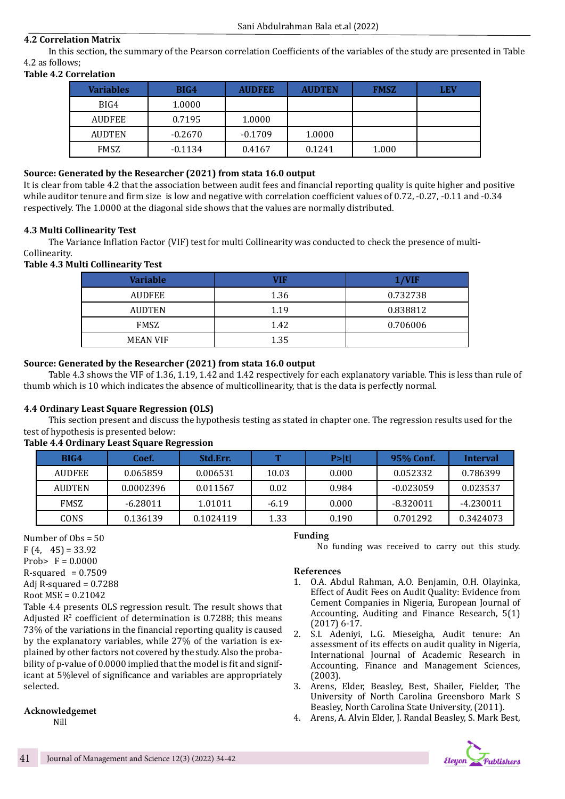# **4.2 Correlation Matrix**

In this section, the summary of the Pearson correlation Coefficients of the variables of the study are presented in Table 4.2 as follows;

#### **Table 4.2 Correlation**

| <b>Variables</b> | BIG4      | <b>AUDFEE</b> | <b>AUDTEN</b> | <b>FMSZ</b> | <b>LEV</b> |
|------------------|-----------|---------------|---------------|-------------|------------|
| BIG4             | 1.0000    |               |               |             |            |
| <b>AUDFEE</b>    | 0.7195    | 1.0000        |               |             |            |
| <b>AUDTEN</b>    | $-0.2670$ | $-0.1709$     | 1.0000        |             |            |
| <b>FMSZ</b>      | $-0.1134$ | 0.4167        | 0.1241        | 1.000       |            |

# **Source: Generated by the Researcher (2021) from stata 16.0 output**

It is clear from table 4.2 that the association between audit fees and financial reporting quality is quite higher and positive while auditor tenure and firm size is low and negative with correlation coefficient values of 0.72, -0.27, -0.11 and -0.34 respectively. The 1.0000 at the diagonal side shows that the values are normally distributed.

#### **4.3 Multi Collinearity Test**

The Variance Inflation Factor (VIF) test for multi Collinearity was conducted to check the presence of multi-Collinearity.

**Table 4.3 Multi Collinearity Test**

| Variable        | VIF  | 1/VIF    |
|-----------------|------|----------|
| <b>AUDFEE</b>   | 1.36 | 0.732738 |
| <b>AUDTEN</b>   | 1.19 | 0.838812 |
| FMSZ            | 1.42 | 0.706006 |
| <b>MEAN VIF</b> | 1.35 |          |

#### **Source: Generated by the Researcher (2021) from stata 16.0 output**

Table 4.3 shows the VIF of 1.36, 1.19, 1.42 and 1.42 respectively for each explanatory variable. This is less than rule of thumb which is 10 which indicates the absence of multicollinearity, that is the data is perfectly normal.

# **4.4 Ordinary Least Square Regression (OLS)**

This section present and discuss the hypothesis testing as stated in chapter one. The regression results used for the test of hypothesis is presented below:

#### **Table 4.4 Ordinary Least Square Regression**

| BIG4          | Coef.      | <b>Std.Err.</b> | T       | P >  t | 95% Conf.   | Interval    |
|---------------|------------|-----------------|---------|--------|-------------|-------------|
| <b>AUDFEE</b> | 0.065859   | 0.006531        | 10.03   | 0.000  | 0.052332    | 0.786399    |
| <b>AUDTEN</b> | 0.0002396  | 0.011567        | 0.02    | 0.984  | $-0.023059$ | 0.023537    |
| <b>FMSZ</b>   | $-6.28011$ | 1.01011         | $-6.19$ | 0.000  | $-8.320011$ | $-4.230011$ |
| CONS          | 0.136139   | 0.1024119       | 1.33    | 0.190  | 0.701292    | 0.3424073   |

Number of Obs = 50

 $F(4, 45) = 33.92$ Prob>  $F = 0.0000$ 

 $R$ -squared = 0.7509

Adj R-squared  $= 0.7288$ 

```
Root MSE = 0.21042
```
Table 4.4 presents OLS regression result. The result shows that Adjusted  $\mathbb{R}^2$  coefficient of determination is 0.7288; this means 73% of the variations in the financial reporting quality is caused by the explanatory variables, while 27% of the variation is explained by other factors not covered by the study. Also the probability of p-value of 0.0000 implied that the model is fit and significant at 5%level of significance and variables are appropriately selected.

# **Acknowledgemet**

Nill

# **Funding**

No funding was received to carry out this study.

#### **References**

- 1. O.A. Abdul Rahman, A.O. Benjamin, O.H. Olayinka, Effect of Audit Fees on Audit Quality: Evidence from Cement Companies in Nigeria, European Journal of Accounting, Auditing and Finance Research, 5(1) (2017) 6-17.
- 2. S.I. Adeniyi, L.G. Mieseigha, Audit tenure: An assessment of its effects on audit quality in Nigeria, International Journal of Academic Research in Accounting, Finance and Management Sciences, (2003).
- 3. Arens, Elder, Beasley, Best, Shailer, Fielder, The University of North Carolina Greensboro Mark S Beasley, North Carolina State University, (2011).
- 4. Arens, A. Alvin Elder, J. Randal Beasley, S. Mark Best,